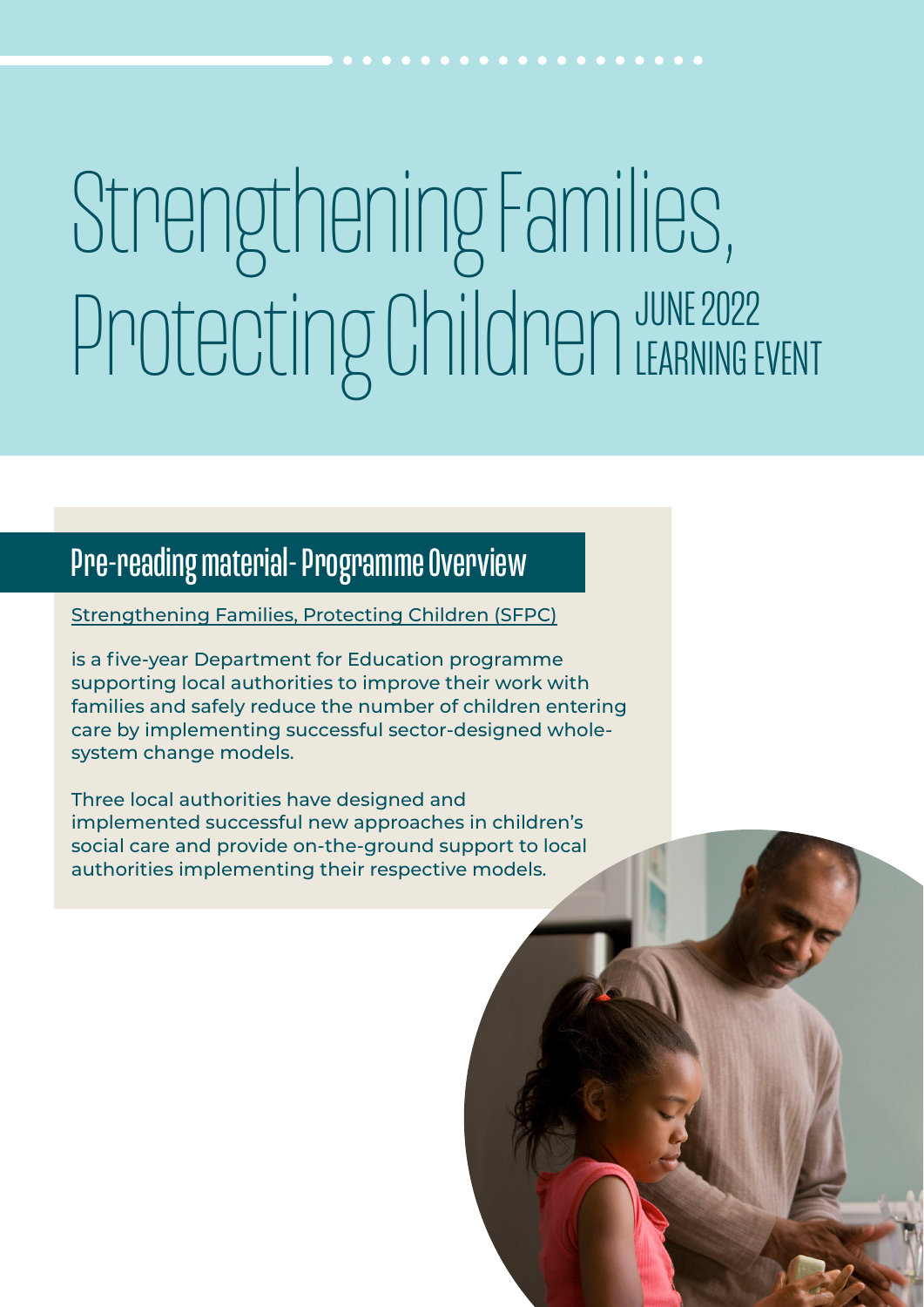# Strengthening Families, Protecting Children JUNE 2022 LEARNING EVENT

# Pre-reading material- Programme Overview

[Strengthening Families, Protecting Children \(SFPC\)](https://www.scie.org.uk/strengthening-families)

is a five-year Department for Education programme supporting local authorities to improve their work with families and safely reduce the number of children entering care by implementing successful sector-designed wholesystem change models.

Three local authorities have designed and implemented successful new approaches in children's social care and provide on-the-ground support to local authorities implementing their respective models.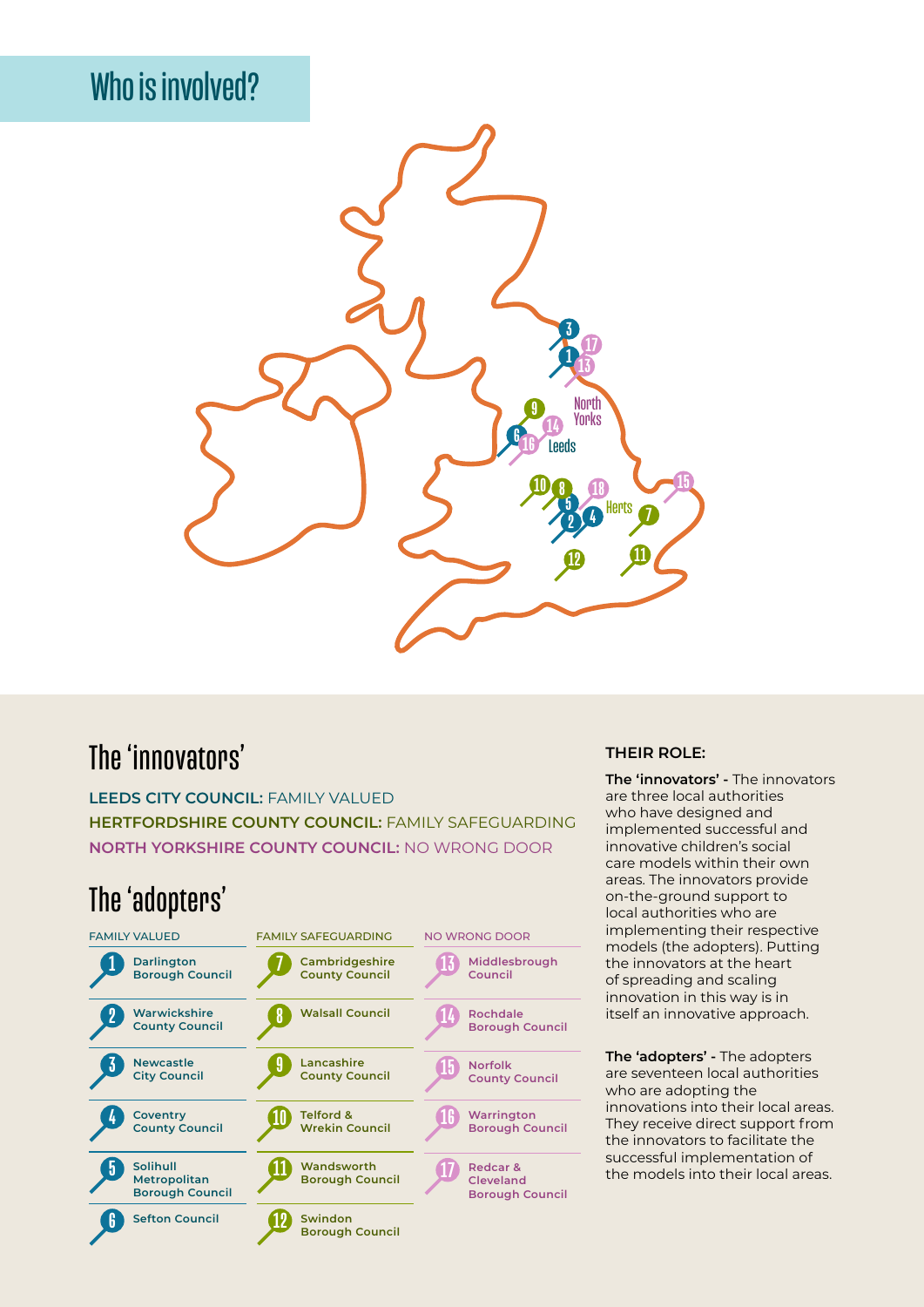# Who is involved?



### The 'innovators'

**LEEDS CITY COUNCIL:** FAMILY VALUED **HERTFORDSHIRE COUNTY COUNCIL:** FAMILY SAFEGUARDING **NORTH YORKSHIRE COUNTY COUNCIL:** NO WRONG DOOR

### The 'adopters'



#### **THEIR ROLE:**

**The 'innovators' -** The innovators are three local authorities who have designed and implemented successful and innovative children's social care models within their own areas. The innovators provide on-the-ground support to local authorities who are implementing their respective models (the adopters). Putting the innovators at the heart of spreading and scaling innovation in this way is in itself an innovative approach.

**The 'adopters' -** The adopters are seventeen local authorities who are adopting the innovations into their local areas. They receive direct support from the innovators to facilitate the successful implementation of the models into their local areas.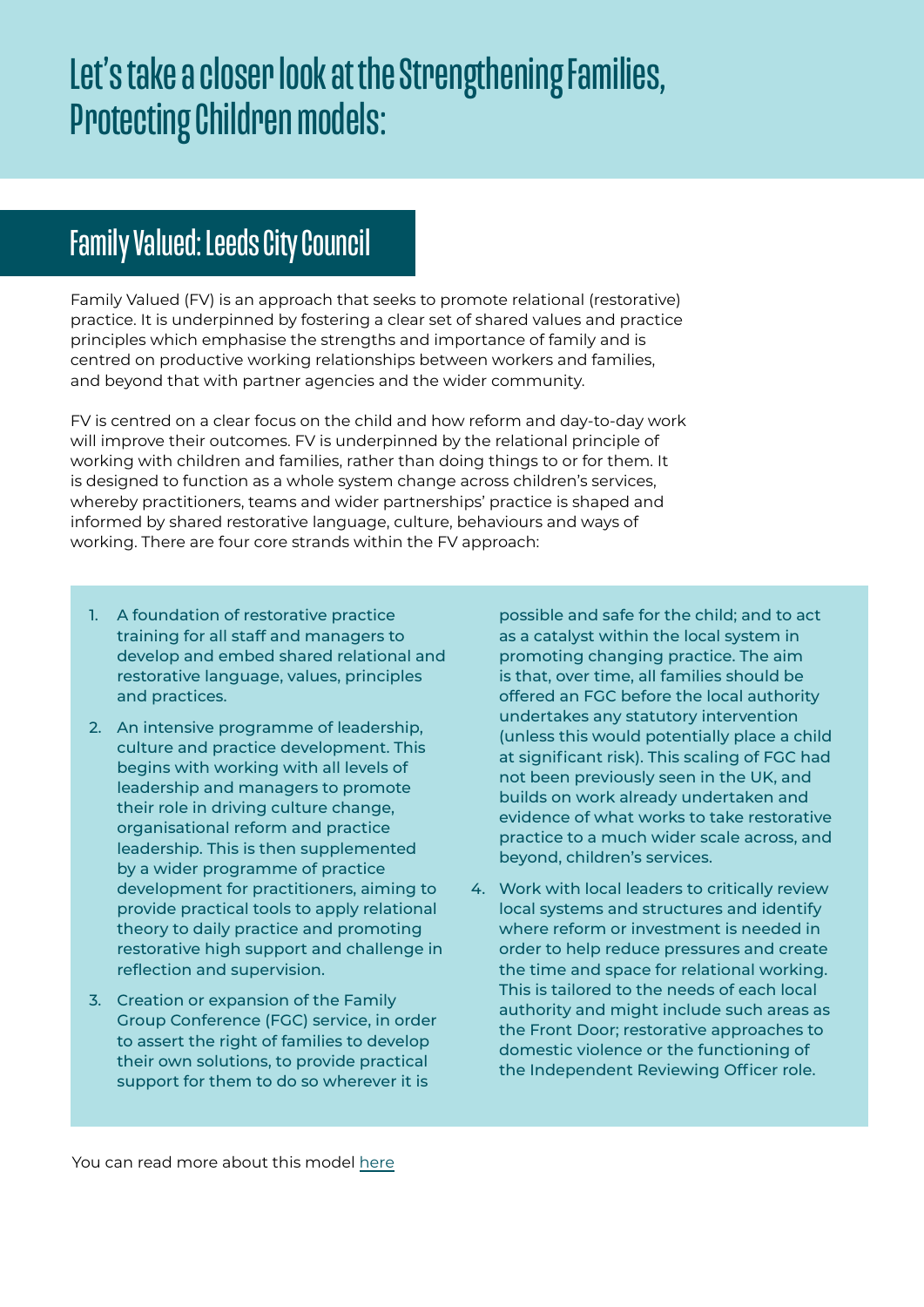# Let's take a closer look at the Strengthening Families, Protecting Children models:

## Family Valued: Leeds City Council

Family Valued (FV) is an approach that seeks to promote relational (restorative) practice. It is underpinned by fostering a clear set of shared values and practice principles which emphasise the strengths and importance of family and is centred on productive working relationships between workers and families, and beyond that with partner agencies and the wider community.

FV is centred on a clear focus on the child and how reform and day-to-day work will improve their outcomes. FV is underpinned by the relational principle of working with children and families, rather than doing things to or for them. It is designed to function as a whole system change across children's services, whereby practitioners, teams and wider partnerships' practice is shaped and informed by shared restorative language, culture, behaviours and ways of working. There are four core strands within the FV approach:

- 1. A foundation of restorative practice training for all staff and managers to develop and embed shared relational and restorative language, values, principles and practices.
- 2. An intensive programme of leadership, culture and practice development. This begins with working with all levels of leadership and managers to promote their role in driving culture change, organisational reform and practice leadership. This is then supplemented by a wider programme of practice development for practitioners, aiming to provide practical tools to apply relational theory to daily practice and promoting restorative high support and challenge in reflection and supervision.
- 3. Creation or expansion of the Family Group Conference (FGC) service, in order to assert the right of families to develop their own solutions, to provide practical support for them to do so wherever it is

possible and safe for the child; and to act as a catalyst within the local system in promoting changing practice. The aim is that, over time, all families should be offered an FGC before the local authority undertakes any statutory intervention (unless this would potentially place a child at significant risk). This scaling of FGC had not been previously seen in the UK, and builds on work already undertaken and evidence of what works to take restorative practice to a much wider scale across, and beyond, children's services.

4. Work with local leaders to critically review local systems and structures and identify where reform or investment is needed in order to help reduce pressures and create the time and space for relational working. This is tailored to the needs of each local authority and might include such areas as the Front Door; restorative approaches to domestic violence or the functioning of the Independent Reviewing Officer role.

You can read more about this model [here](https://www.scie.org.uk/strengthening-families/leeds-family-valued)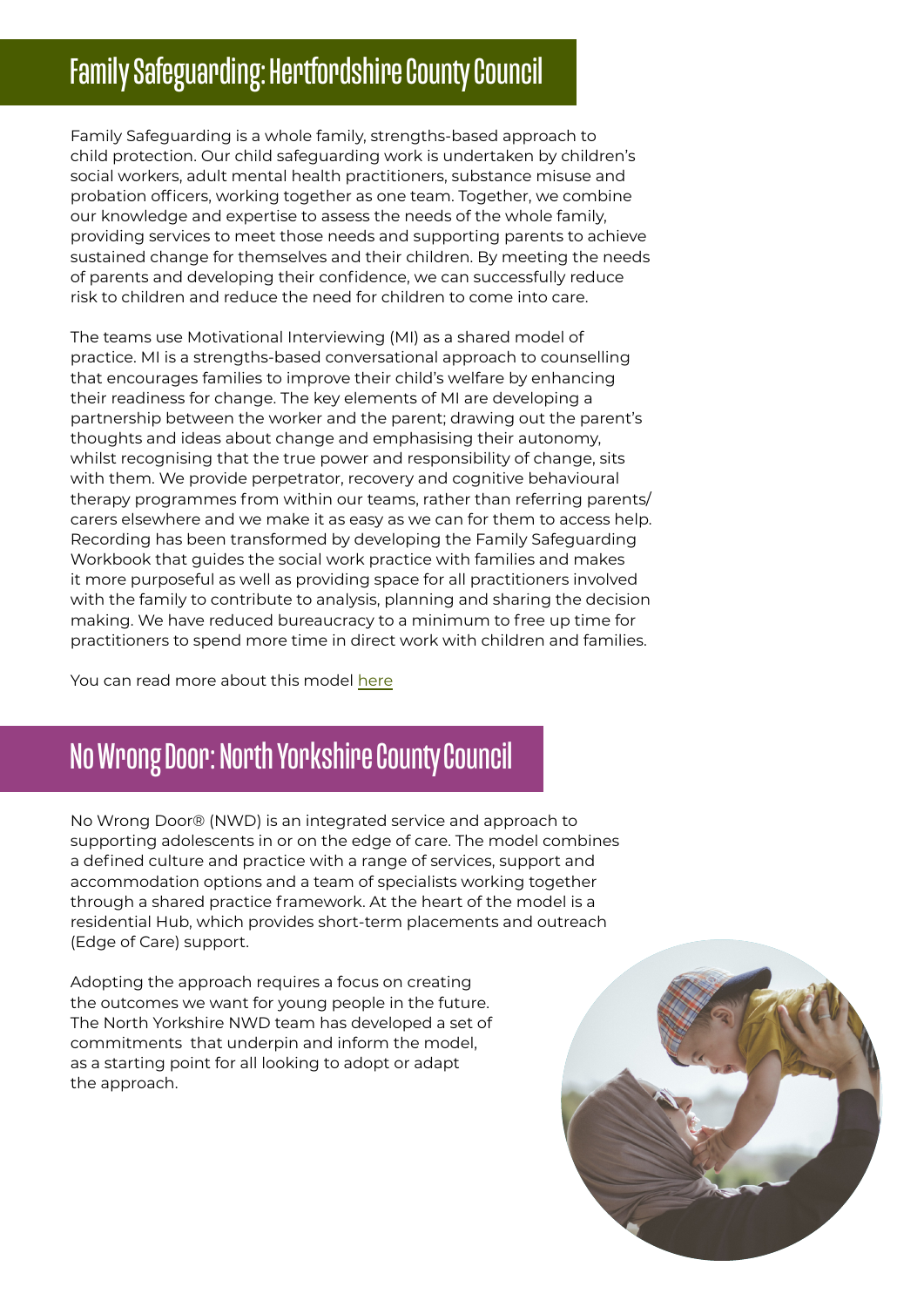# Family Safeguarding: Hertfordshire County Council

Family Safeguarding is a whole family, strengths-based approach to child protection. Our child safeguarding work is undertaken by children's social workers, adult mental health practitioners, substance misuse and probation officers, working together as one team. Together, we combine our knowledge and expertise to assess the needs of the whole family, providing services to meet those needs and supporting parents to achieve sustained change for themselves and their children. By meeting the needs of parents and developing their confidence, we can successfully reduce risk to children and reduce the need for children to come into care.

The teams use Motivational Interviewing (MI) as a shared model of practice. MI is a strengths-based conversational approach to counselling that encourages families to improve their child's welfare by enhancing their readiness for change. The key elements of MI are developing a partnership between the worker and the parent; drawing out the parent's thoughts and ideas about change and emphasising their autonomy, whilst recognising that the true power and responsibility of change, sits with them. We provide perpetrator, recovery and cognitive behavioural therapy programmes from within our teams, rather than referring parents/ carers elsewhere and we make it as easy as we can for them to access help. Recording has been transformed by developing the Family Safeguarding Workbook that guides the social work practice with families and makes it more purposeful as well as providing space for all practitioners involved with the family to contribute to analysis, planning and sharing the decision making. We have reduced bureaucracy to a minimum to free up time for practitioners to spend more time in direct work with children and families.

You can read more about this model [here](https://www.scie.org.uk/strengthening-families/hertfordshire-family-safeguarding)

# No Wrong Door: North Yorkshire County Council

No Wrong Door® (NWD) is an integrated service and approach to supporting adolescents in or on the edge of care. The model combines a defined culture and practice with a range of services, support and accommodation options and a team of specialists working together through a shared practice framework. At the heart of the model is a residential Hub, which provides short-term placements and outreach (Edge of Care) support.

Adopting the approach requires a focus on creating the outcomes we want for young people in the future. The North Yorkshire NWD team has developed a set of commitments that underpin and inform the model, as a starting point for all looking to adopt or adapt the approach.